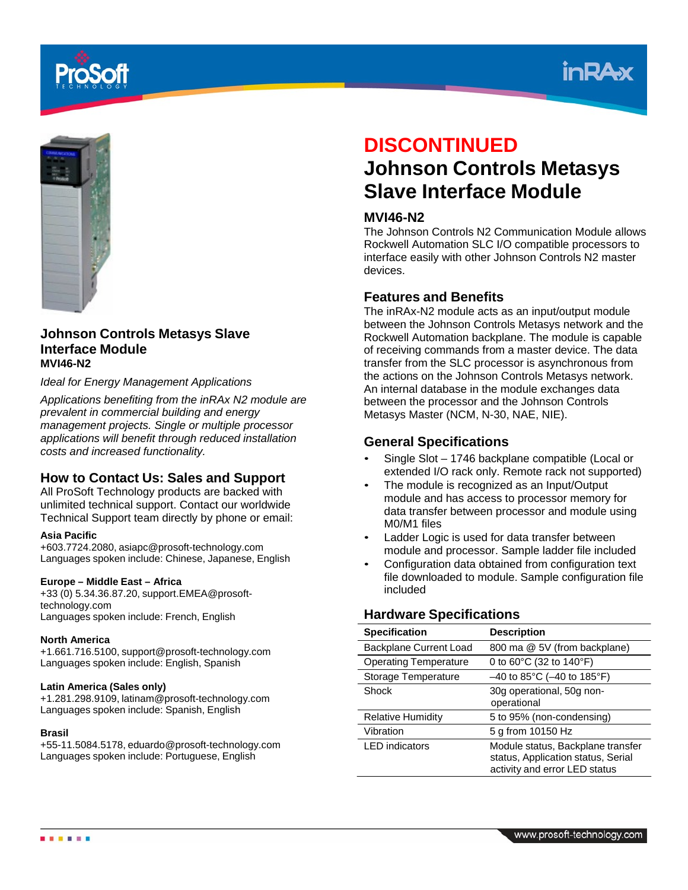





### **Johnson Controls Metasys Slave Interface Module MVI46-N2**

### *Ideal for Energy Management Applications*

*Applications benefiting from the inRAx N2 module are prevalent in commercial building and energy management projects. Single or multiple processor applications will benefit through reduced installation costs and increased functionality.*

### **How to Contact Us: Sales and Support**

All ProSoft Technology products are backed with unlimited technical support. Contact our worldwide Technical Support team directly by phone or email:

### **Asia Pacific**

+603.7724.2080, asiapc@prosoft-technology.com Languages spoken include: Chinese, Japanese, English

### **Europe – Middle East – Africa**

+33 (0) 5.34.36.87.20, support.EMEA@prosofttechnology.com Languages spoken include: French, English

### **North America**

+1.661.716.5100, support@prosoft-technology.com Languages spoken include: English, Spanish

### **Latin America (Sales only)**

+1.281.298.9109, latinam@prosoft-technology.com Languages spoken include: Spanish, English

### **Brasil**

.....

+55-11.5084.5178, eduardo@prosoft-technology.com Languages spoken include: Portuguese, English

# **DISCONTINUED**

# **Johnson Controls Metasys Slave Interface Module**

## **MVI46-N2**

The Johnson Controls N2 Communication Module allows Rockwell Automation SLC I/O compatible processors to interface easily with other Johnson Controls N2 master devices.

# **Features and Benefits**

The inRAx-N2 module acts as an input/output module between the Johnson Controls Metasys network and the Rockwell Automation backplane. The module is capable of receiving commands from a master device. The data transfer from the SLC processor is asynchronous from the actions on the Johnson Controls Metasys network. An internal database in the module exchanges data between the processor and the Johnson Controls Metasys Master (NCM, N-30, NAE, NIE).

## **General Specifications**

- Single Slot 1746 backplane compatible (Local or extended I/O rack only. Remote rack not supported)
- The module is recognized as an Input/Output module and has access to processor memory for data transfer between processor and module using M0/M1 files
- Ladder Logic is used for data transfer between module and processor. Sample ladder file included
- Configuration data obtained from configuration text file downloaded to module. Sample configuration file included

### **Hardware Specifications**

| <b>Specification</b>         | <b>Description</b>                                                                                       |
|------------------------------|----------------------------------------------------------------------------------------------------------|
| Backplane Current Load       | 800 ma @ 5V (from backplane)                                                                             |
| <b>Operating Temperature</b> | 0 to $60^{\circ}$ C (32 to 140 $^{\circ}$ F)                                                             |
| Storage Temperature          | $-40$ to 85°C ( $-40$ to 185°F)                                                                          |
| Shock                        | 30g operational, 50g non-<br>operational                                                                 |
| <b>Relative Humidity</b>     | 5 to 95% (non-condensing)                                                                                |
| Vibration                    | 5 g from 10150 Hz                                                                                        |
| <b>LED</b> indicators        | Module status, Backplane transfer<br>status, Application status, Serial<br>activity and error LED status |